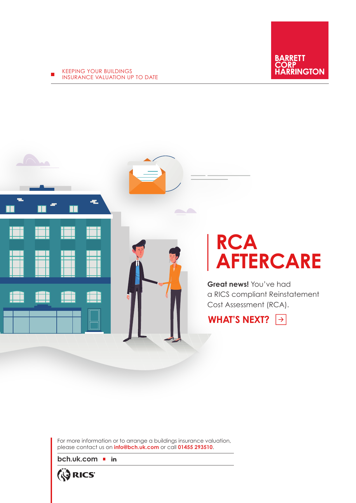KEEPING YOUR BUILDINGS INSURANCE VALUATION UP TO DATE



## **RCA AFTERCARE**

**Great news!** You've had a RICS compliant Reinstatement Cost Assessment (RCA).

**WHAT'S NEXT?**

For more information or to arrange a buildings insurance valuation, please contact us on **info@bch.uk.com** or call **01455 293510**.

**[bch.uk.com](https://bch.uk.com/)**